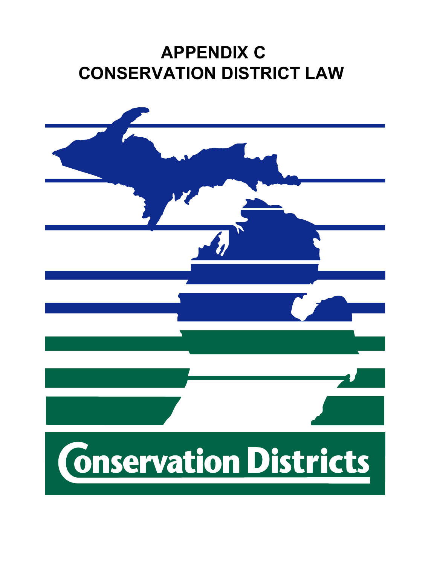# **APPENDIX C CONSERVATION DISTRICT LAW**

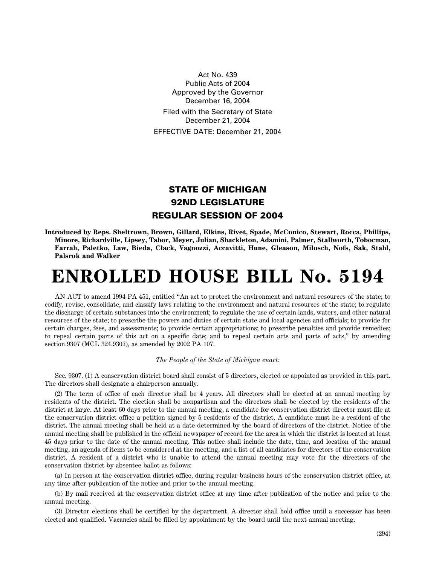Act No. 439 Public Acts of 2004 Approved by the Governor December 16, 2004 Filed with the Secretary of State December 21, 2004 EFFECTIVE DATE: December 21, 2004

### **STATE OF MICHIGAN 92ND LEGISLATURE REGULAR SESSION OF 2004**

**Introduced by Reps. Sheltrown, Brown, Gillard, Elkins, Rivet, Spade, McConico, Stewart, Rocca, Phillips, Minore, Richardville, Lipsey, Tabor, Meyer, Julian, Shackleton, Adamini, Palmer, Stallworth, Tobocman, Farrah, Paletko, Law, Bieda, Clack, Vagnozzi, Accavitti, Hune, Gleason, Milosch, Nofs, Sak, Stahl, Palsrok and Walker**

## **ENROLLED HOUSE BILL No. 5194**

AN ACT to amend 1994 PA 451, entitled "An act to protect the environment and natural resources of the state; to codify, revise, consolidate, and classify laws relating to the environment and natural resources of the state; to regulate the discharge of certain substances into the environment; to regulate the use of certain lands, waters, and other natural resources of the state; to prescribe the powers and duties of certain state and local agencies and officials; to provide for certain charges, fees, and assessments; to provide certain appropriations; to prescribe penalties and provide remedies; to repeal certain parts of this act on a specific date; and to repeal certain acts and parts of acts," by amending section 9307 (MCL 324.9307), as amended by 2002 PA 107.

#### *The People of the State of Michigan enact:*

Sec. 9307. (1) A conservation district board shall consist of 5 directors, elected or appointed as provided in this part. The directors shall designate a chairperson annually.

(2) The term of office of each director shall be 4 years. All directors shall be elected at an annual meeting by residents of the district. The election shall be nonpartisan and the directors shall be elected by the residents of the district at large. At least 60 days prior to the annual meeting, a candidate for conservation district director must file at the conservation district office a petition signed by 5 residents of the district. A candidate must be a resident of the district. The annual meeting shall be held at a date determined by the board of directors of the district. Notice of the annual meeting shall be published in the official newspaper of record for the area in which the district is located at least 45 days prior to the date of the annual meeting. This notice shall include the date, time, and location of the annual meeting, an agenda of items to be considered at the meeting, and a list of all candidates for directors of the conservation district. A resident of a district who is unable to attend the annual meeting may vote for the directors of the conservation district by absentee ballot as follows:

(a) In person at the conservation district office, during regular business hours of the conservation district office, at any time after publication of the notice and prior to the annual meeting.

(b) By mail received at the conservation district office at any time after publication of the notice and prior to the annual meeting.

(3) Director elections shall be certified by the department. A director shall hold office until a successor has been elected and qualified. Vacancies shall be filled by appointment by the board until the next annual meeting.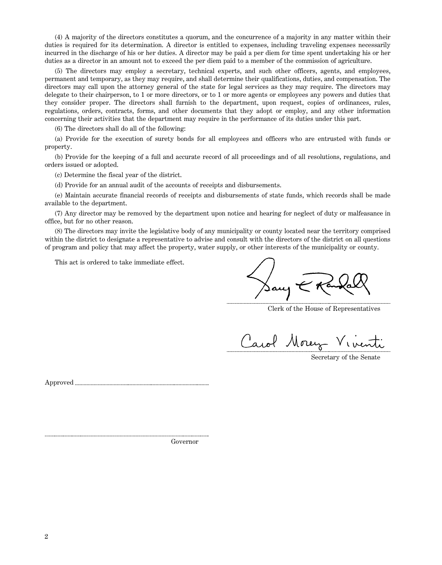(4) A majority of the directors constitutes a quorum, and the concurrence of a majority in any matter within their duties is required for its determination. A director is entitled to expenses, including traveling expenses necessarily incurred in the discharge of his or her duties. A director may be paid a per diem for time spent undertaking his or her duties as a director in an amount not to exceed the per diem paid to a member of the commission of agriculture.

(5) The directors may employ a secretary, technical experts, and such other officers, agents, and employees, permanent and temporary, as they may require, and shall determine their qualifications, duties, and compensation. The directors may call upon the attorney general of the state for legal services as they may require. The directors may delegate to their chairperson, to 1 or more directors, or to 1 or more agents or employees any powers and duties that they consider proper. The directors shall furnish to the department, upon request, copies of ordinances, rules, regulations, orders, contracts, forms, and other documents that they adopt or employ, and any other information concerning their activities that the department may require in the performance of its duties under this part.

(6) The directors shall do all of the following:

(a) Provide for the execution of surety bonds for all employees and officers who are entrusted with funds or property.

(b) Provide for the keeping of a full and accurate record of all proceedings and of all resolutions, regulations, and orders issued or adopted.

(c) Determine the fiscal year of the district.

(d) Provide for an annual audit of the accounts of receipts and disbursements.

(e) Maintain accurate financial records of receipts and disbursements of state funds, which records shall be made available to the department.

(7) Any director may be removed by the department upon notice and hearing for neglect of duty or malfeasance in office, but for no other reason.

(8) The directors may invite the legislative body of any municipality or county located near the territory comprised within the district to designate a representative to advise and consult with the directors of the district on all questions of program and policy that may affect the property, water supply, or other interests of the municipality or county.

This act is ordered to take immediate effect.

Sany

Clerk of the House of Representatives

Carol Money Viventi

Secretary of the Senate

Approved

Governor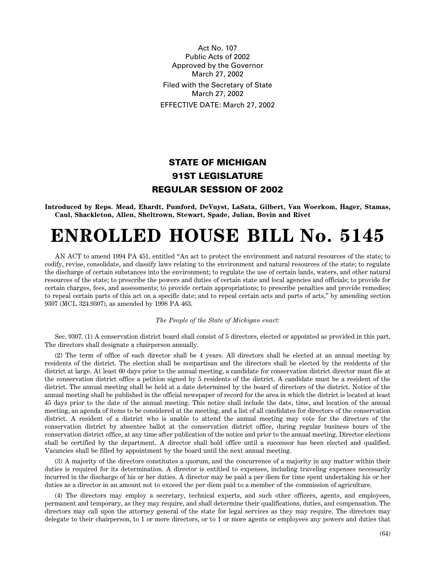Act No. 107 Public Acts of 2002 Approved by the Governor March 27, 2002 Filed with the Secretary of State March 27, 2002 EFFECTIVE DATE: March 27, 2002

## **STATE OF MICHIGAN 91ST LEGISLATURE REGULAR SESSION OF 2002**

**Introduced by Reps. Mead, Ehardt, Pumford, DeVuyst, LaSata, Gilbert, Van Woerkom, Hager, Stamas, Caul, Shackleton, Allen, Sheltrown, Stewart, Spade, Julian, Bovin and Rivet**

# **ENROLLED HOUSE BILL No. 5145**

AN ACT to amend 1994 PA 451, entitled "An act to protect the environment and natural resources of the state; to codify, revise, consolidate, and classify laws relating to the environment and natural resources of the state; to regulate the discharge of certain substances into the environment; to regulate the use of certain lands, waters, and other natural resources of the state; to prescribe the powers and duties of certain state and local agencies and officials; to provide for certain charges, fees, and assessments; to provide certain appropriations; to prescribe penalties and provide remedies; to repeal certain parts of this act on a specific date; and to repeal certain acts and parts of acts," by amending section 9307 (MCL 324.9307), as amended by 1998 PA 463.

#### *The People of the State of Michigan enact:*

Sec. 9307. (1) A conservation district board shall consist of 5 directors, elected or appointed as provided in this part. The directors shall designate a chairperson annually.

(2) The term of office of each director shall be 4 years. All directors shall be elected at an annual meeting by residents of the district. The election shall be nonpartisan and the directors shall be elected by the residents of the district at large. At least 60 days prior to the annual meeting, a candidate for conservation district director must file at the conservation district office a petition signed by 5 residents of the district. A candidate must be a resident of the district. The annual meeting shall be held at a date determined by the board of directors of the district. Notice of the annual meeting shall be published in the official newspaper of record for the area in which the district is located at least 45 days prior to the date of the annual meeting. This notice shall include the date, time, and location of the annual meeting, an agenda of items to be considered at the meeting, and a list of all candidates for directors of the conservation district. A resident of a district who is unable to attend the annual meeting may vote for the directors of the conservation district by absentee ballot at the conservation district office, during regular business hours of the conservation district office, at any time after publication of the notice and prior to the annual meeting. Director elections shall be certified by the department. A director shall hold office until a successor has been elected and qualified. Vacancies shall be filled by appointment by the board until the next annual meeting.

(3) A majority of the directors constitutes a quorum, and the concurrence of a majority in any matter within their duties is required for its determination. A director is entitled to expenses, including traveling expenses necessarily incurred in the discharge of his or her duties. A director may be paid a per diem for time spent undertaking his or her duties as a director in an amount not to exceed the per diem paid to a member of the commission of agriculture.

(4) The directors may employ a secretary, technical experts, and such other officers, agents, and employees, permanent and temporary, as they may require, and shall determine their qualifications, duties, and compensation. The directors may call upon the attorney general of the state for legal services as they may require. The directors may delegate to their chairperson, to 1 or more directors, or to 1 or more agents or employees any powers and duties that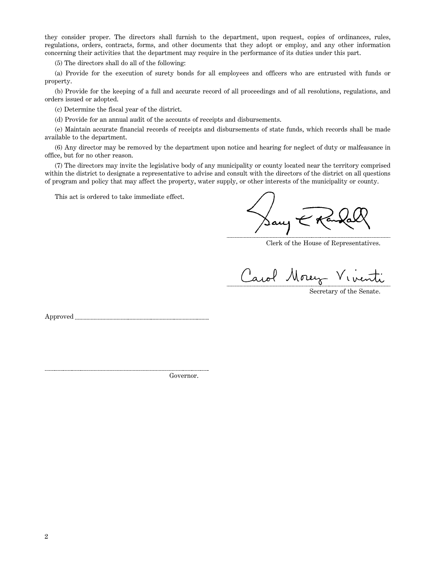they consider proper. The directors shall furnish to the department, upon request, copies of ordinances, rules, regulations, orders, contracts, forms, and other documents that they adopt or employ, and any other information concerning their activities that the department may require in the performance of its duties under this part.

(5) The directors shall do all of the following:

(a) Provide for the execution of surety bonds for all employees and officers who are entrusted with funds or property.

(b) Provide for the keeping of a full and accurate record of all proceedings and of all resolutions, regulations, and orders issued or adopted.

(c) Determine the fiscal year of the district.

(d) Provide for an annual audit of the accounts of receipts and disbursements.

(e) Maintain accurate financial records of receipts and disbursements of state funds, which records shall be made available to the department.

(6) Any director may be removed by the department upon notice and hearing for neglect of duty or malfeasance in office, but for no other reason.

(7) The directors may invite the legislative body of any municipality or county located near the territory comprised within the district to designate a representative to advise and consult with the directors of the district on all questions of program and policy that may affect the property, water supply, or other interests of the municipality or county.

This act is ordered to take immediate effect.

 $\sqrt{2\pi\sqrt{2}}$ 

Clerk of the House of Representatives.

Carol Morey Viventi

Approved

Governor.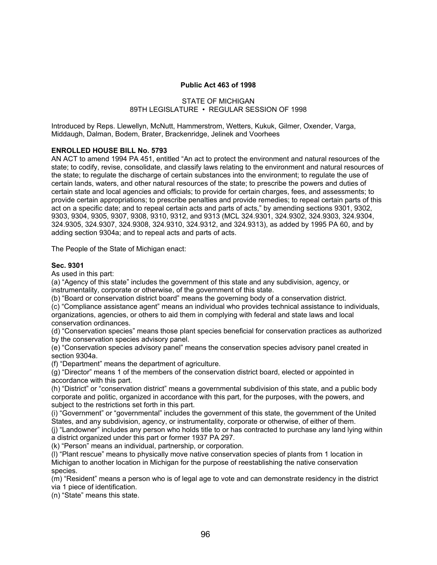#### **Public Act 463 of 1998**

### STATE OF MICHIGAN 89TH LEGISLATURE • REGULAR SESSION OF 1998

Introduced by Reps. Llewellyn, McNutt, Hammerstrom, Wetters, Kukuk, Gilmer, Oxender, Varga, Middaugh, Dalman, Bodem, Brater, Brackenridge, Jelinek and Voorhees

### **ENROLLED HOUSE BILL No. 5793**

AN ACT to amend 1994 PA 451, entitled "An act to protect the environment and natural resources of the state; to codify, revise, consolidate, and classify laws relating to the environment and natural resources of the state; to regulate the discharge of certain substances into the environment; to regulate the use of certain lands, waters, and other natural resources of the state; to prescribe the powers and duties of certain state and local agencies and officials; to provide for certain charges, fees, and assessments; to provide certain appropriations; to prescribe penalties and provide remedies; to repeal certain parts of this act on a specific date; and to repeal certain acts and parts of acts," by amending sections 9301, 9302, 9303, 9304, 9305, 9307, 9308, 9310, 9312, and 9313 (MCL 324.9301, 324.9302, 324.9303, 324.9304, 324.9305, 324.9307, 324.9308, 324.9310, 324.9312, and 324.9313), as added by 1995 PA 60, and by adding section 9304a; and to repeal acts and parts of acts.

The People of the State of Michigan enact:

#### **Sec. 9301**

As used in this part:

(a) "Agency of this state" includes the government of this state and any subdivision, agency, or instrumentality, corporate or otherwise, of the government of this state.

(b) "Board or conservation district board" means the governing body of a conservation district.

(c) "Compliance assistance agent" means an individual who provides technical assistance to individuals, organizations, agencies, or others to aid them in complying with federal and state laws and local conservation ordinances.

(d) "Conservation species" means those plant species beneficial for conservation practices as authorized by the conservation species advisory panel.

(e) "Conservation species advisory panel" means the conservation species advisory panel created in section 9304a.

(f) "Department" means the department of agriculture.

(g) "Director" means 1 of the members of the conservation district board, elected or appointed in accordance with this part.

(h) "District" or "conservation district" means a governmental subdivision of this state, and a public body corporate and politic, organized in accordance with this part, for the purposes, with the powers, and subject to the restrictions set forth in this part.

(i) "Government" or "governmental" includes the government of this state, the government of the United States, and any subdivision, agency, or instrumentality, corporate or otherwise, of either of them.

(j) "Landowner" includes any person who holds title to or has contracted to purchase any land lying within a district organized under this part or former 1937 PA 297.

(k) "Person" means an individual, partnership, or corporation.

(l) "Plant rescue" means to physically move native conservation species of plants from 1 location in Michigan to another location in Michigan for the purpose of reestablishing the native conservation species.

(m) "Resident" means a person who is of legal age to vote and can demonstrate residency in the district via 1 piece of identification.

(n) "State" means this state.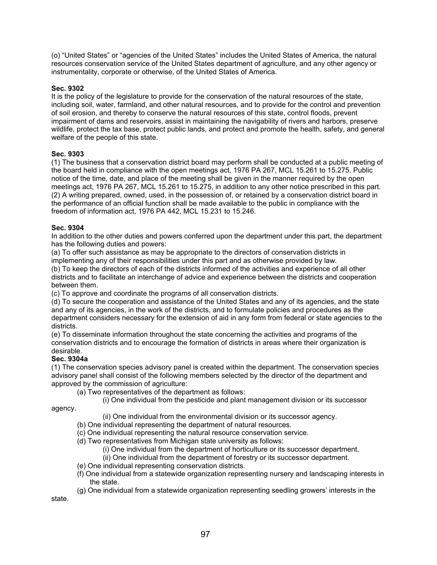(o) "United States" or "agencies of the United States" includes the United States of America, the natural resources conservation service of the United States department of agriculture, and any other agency or instrumentality, corporate or otherwise, of the United States of America.

### **Sec. 9302**

It is the policy of the legislature to provide for the conservation of the natural resources of the state, including soil, water, farmland, and other natural resources, and to provide for the control and prevention of soil erosion, and thereby to conserve the natural resources of this state, control floods, prevent impairment of dams and reservoirs, assist in maintaining the navigability of rivers and harbors, preserve wildlife, protect the tax base, protect public lands, and protect and promote the health, safety, and general welfare of the people of this state.

### **Sec. 9303**

(1) The business that a conservation district board may perform shall be conducted at a public meeting of the board held in compliance with the open meetings act, 1976 PA 267, MCL 15.261 to 15.275. Public notice of the time, date, and place of the meeting shall be given in the manner required by the open meetings act, 1976 PA 267, MCL 15.261 to 15.275, in addition to any other notice prescribed in this part. (2) A writing prepared, owned, used, in the possession of, or retained by a conservation district board in the performance of an official function shall be made available to the public in compliance with the freedom of information act, 1976 PA 442, MCL 15.231 to 15.246.

### **Sec. 9304**

In addition to the other duties and powers conferred upon the department under this part, the department has the following duties and powers:

(a) To offer such assistance as may be appropriate to the directors of conservation districts in implementing any of their responsibilities under this part and as otherwise provided by law. (b) To keep the directors of each of the districts informed of the activities and experience of all other districts and to facilitate an interchange of advice and experience between the districts and cooperation between them.

(c) To approve and coordinate the programs of all conservation districts.

(d) To secure the cooperation and assistance of the United States and any of its agencies, and the state and any of its agencies, in the work of the districts, and to formulate policies and procedures as the department considers necessary for the extension of aid in any form from federal or state agencies to the districts.

(e) To disseminate information throughout the state concerning the activities and programs of the conservation districts and to encourage the formation of districts in areas where their organization is desirable.

#### **Sec. 9304a**

(1) The conservation species advisory panel is created within the department. The conservation species advisory panel shall consist of the following members selected by the director of the department and approved by the commission of agriculture:

(a) Two representatives of the department as follows:

(i) One individual from the pesticide and plant management division or its successor

agency.

(ii) One individual from the environmental division or its successor agency.

- (b) One individual representing the department of natural resources.
- (c) One individual representing the natural resource conservation service.
- (d) Two representatives from Michigan state university as follows:
	- (i) One individual from the department of horticulture or its successor department.
	- (ii) One individual from the department of forestry or its successor department.
- (e) One individual representing conservation districts.
- (f) One individual from a statewide organization representing nursery and landscaping interests in the state.
- (g) One individual from a statewide organization representing seedling growers' interests in the

state.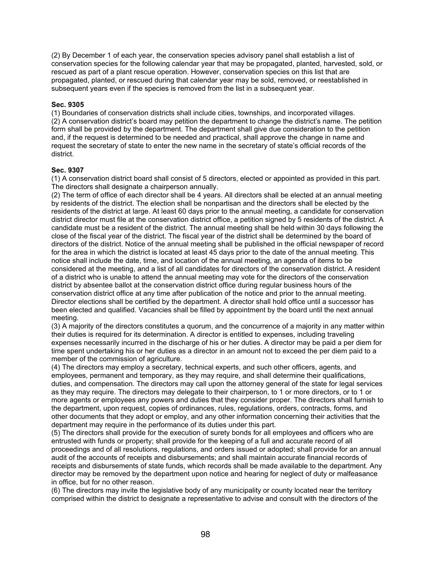(2) By December 1 of each year, the conservation species advisory panel shall establish a list of conservation species for the following calendar year that may be propagated, planted, harvested, sold, or rescued as part of a plant rescue operation. However, conservation species on this list that are propagated, planted, or rescued during that calendar year may be sold, removed, or reestablished in subsequent years even if the species is removed from the list in a subsequent year.

### **Sec. 9305**

(1) Boundaries of conservation districts shall include cities, townships, and incorporated villages. (2) A conservation district's board may petition the department to change the district's name. The petition form shall be provided by the department. The department shall give due consideration to the petition and, if the request is determined to be needed and practical, shall approve the change in name and request the secretary of state to enter the new name in the secretary of state's official records of the district.

### **Sec. 9307**

(1) A conservation district board shall consist of 5 directors, elected or appointed as provided in this part. The directors shall designate a chairperson annually.

(2) The term of office of each director shall be 4 years. All directors shall be elected at an annual meeting by residents of the district. The election shall be nonpartisan and the directors shall be elected by the residents of the district at large. At least 60 days prior to the annual meeting, a candidate for conservation district director must file at the conservation district office, a petition signed by 5 residents of the district. A candidate must be a resident of the district. The annual meeting shall be held within 30 days following the close of the fiscal year of the district. The fiscal year of the district shall be determined by the board of directors of the district. Notice of the annual meeting shall be published in the official newspaper of record for the area in which the district is located at least 45 days prior to the date of the annual meeting. This notice shall include the date, time, and location of the annual meeting, an agenda of items to be considered at the meeting, and a list of all candidates for directors of the conservation district. A resident of a district who is unable to attend the annual meeting may vote for the directors of the conservation district by absentee ballot at the conservation district office during regular business hours of the conservation district office at any time after publication of the notice and prior to the annual meeting. Director elections shall be certified by the department. A director shall hold office until a successor has been elected and qualified. Vacancies shall be filled by appointment by the board until the next annual meeting.

(3) A majority of the directors constitutes a quorum, and the concurrence of a majority in any matter within their duties is required for its determination. A director is entitled to expenses, including traveling expenses necessarily incurred in the discharge of his or her duties. A director may be paid a per diem for time spent undertaking his or her duties as a director in an amount not to exceed the per diem paid to a member of the commission of agriculture.

(4) The directors may employ a secretary, technical experts, and such other officers, agents, and employees, permanent and temporary, as they may require, and shall determine their qualifications, duties, and compensation. The directors may call upon the attorney general of the state for legal services as they may require. The directors may delegate to their chairperson, to 1 or more directors, or to 1 or more agents or employees any powers and duties that they consider proper. The directors shall furnish to the department, upon request, copies of ordinances, rules, regulations, orders, contracts, forms, and other documents that they adopt or employ, and any other information concerning their activities that the department may require in the performance of its duties under this part.

(5) The directors shall provide for the execution of surety bonds for all employees and officers who are entrusted with funds or property; shall provide for the keeping of a full and accurate record of all proceedings and of all resolutions, regulations, and orders issued or adopted; shall provide for an annual audit of the accounts of receipts and disbursements; and shall maintain accurate financial records of receipts and disbursements of state funds, which records shall be made available to the department. Any director may be removed by the department upon notice and hearing for neglect of duty or malfeasance in office, but for no other reason.

(6) The directors may invite the legislative body of any municipality or county located near the territory comprised within the district to designate a representative to advise and consult with the directors of the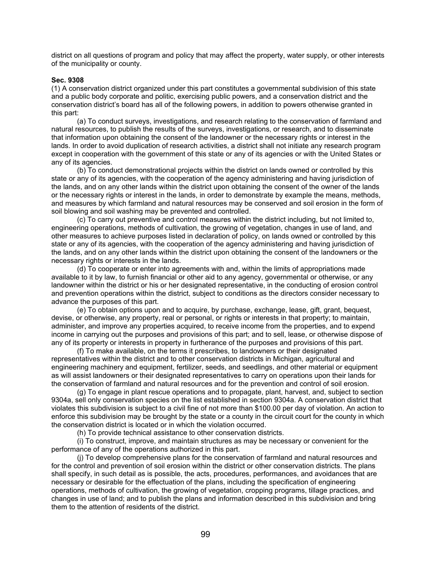district on all questions of program and policy that may affect the property, water supply, or other interests of the municipality or county.

#### **Sec. 9308**

(1) A conservation district organized under this part constitutes a governmental subdivision of this state and a public body corporate and politic, exercising public powers, and a conservation district and the conservation district's board has all of the following powers, in addition to powers otherwise granted in this part:

 (a) To conduct surveys, investigations, and research relating to the conservation of farmland and natural resources, to publish the results of the surveys, investigations, or research, and to disseminate that information upon obtaining the consent of the landowner or the necessary rights or interest in the lands. In order to avoid duplication of research activities, a district shall not initiate any research program except in cooperation with the government of this state or any of its agencies or with the United States or any of its agencies.

 (b) To conduct demonstrational projects within the district on lands owned or controlled by this state or any of its agencies, with the cooperation of the agency administering and having jurisdiction of the lands, and on any other lands within the district upon obtaining the consent of the owner of the lands or the necessary rights or interest in the lands, in order to demonstrate by example the means, methods, and measures by which farmland and natural resources may be conserved and soil erosion in the form of soil blowing and soil washing may be prevented and controlled.

 (c) To carry out preventive and control measures within the district including, but not limited to, engineering operations, methods of cultivation, the growing of vegetation, changes in use of land, and other measures to achieve purposes listed in declaration of policy, on lands owned or controlled by this state or any of its agencies, with the cooperation of the agency administering and having jurisdiction of the lands, and on any other lands within the district upon obtaining the consent of the landowners or the necessary rights or interests in the lands.

 (d) To cooperate or enter into agreements with and, within the limits of appropriations made available to it by law, to furnish financial or other aid to any agency, governmental or otherwise, or any landowner within the district or his or her designated representative, in the conducting of erosion control and prevention operations within the district, subject to conditions as the directors consider necessary to advance the purposes of this part.

 (e) To obtain options upon and to acquire, by purchase, exchange, lease, gift, grant, bequest, devise, or otherwise, any property, real or personal, or rights or interests in that property; to maintain, administer, and improve any properties acquired, to receive income from the properties, and to expend income in carrying out the purposes and provisions of this part; and to sell, lease, or otherwise dispose of any of its property or interests in property in furtherance of the purposes and provisions of this part.

 (f) To make available, on the terms it prescribes, to landowners or their designated representatives within the district and to other conservation districts in Michigan, agricultural and engineering machinery and equipment, fertilizer, seeds, and seedlings, and other material or equipment as will assist landowners or their designated representatives to carry on operations upon their lands for the conservation of farmland and natural resources and for the prevention and control of soil erosion.

 (g) To engage in plant rescue operations and to propagate, plant, harvest, and, subject to section 9304a, sell only conservation species on the list established in section 9304a. A conservation district that violates this subdivision is subject to a civil fine of not more than \$100.00 per day of violation. An action to enforce this subdivision may be brought by the state or a county in the circuit court for the county in which the conservation district is located or in which the violation occurred.

(h) To provide technical assistance to other conservation districts.

 (i) To construct, improve, and maintain structures as may be necessary or convenient for the performance of any of the operations authorized in this part.

 (j) To develop comprehensive plans for the conservation of farmland and natural resources and for the control and prevention of soil erosion within the district or other conservation districts. The plans shall specify, in such detail as is possible, the acts, procedures, performances, and avoidances that are necessary or desirable for the effectuation of the plans, including the specification of engineering operations, methods of cultivation, the growing of vegetation, cropping programs, tillage practices, and changes in use of land; and to publish the plans and information described in this subdivision and bring them to the attention of residents of the district.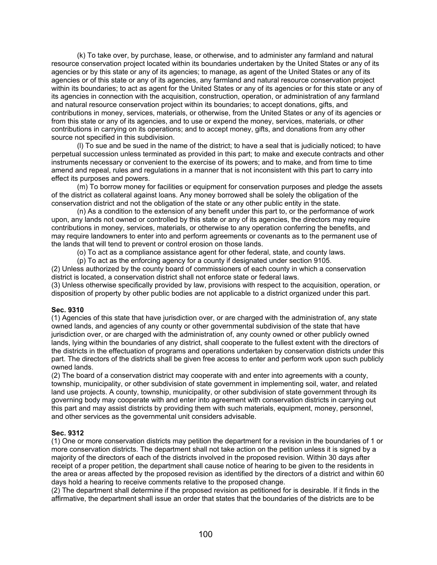(k) To take over, by purchase, lease, or otherwise, and to administer any farmland and natural resource conservation project located within its boundaries undertaken by the United States or any of its agencies or by this state or any of its agencies; to manage, as agent of the United States or any of its agencies or of this state or any of its agencies, any farmland and natural resource conservation project within its boundaries; to act as agent for the United States or any of its agencies or for this state or any of its agencies in connection with the acquisition, construction, operation, or administration of any farmland and natural resource conservation project within its boundaries; to accept donations, gifts, and contributions in money, services, materials, or otherwise, from the United States or any of its agencies or from this state or any of its agencies, and to use or expend the money, services, materials, or other contributions in carrying on its operations; and to accept money, gifts, and donations from any other source not specified in this subdivision.

 (l) To sue and be sued in the name of the district; to have a seal that is judicially noticed; to have perpetual succession unless terminated as provided in this part; to make and execute contracts and other instruments necessary or convenient to the exercise of its powers; and to make, and from time to time amend and repeal, rules and regulations in a manner that is not inconsistent with this part to carry into effect its purposes and powers.

 (m) To borrow money for facilities or equipment for conservation purposes and pledge the assets of the district as collateral against loans. Any money borrowed shall be solely the obligation of the conservation district and not the obligation of the state or any other public entity in the state.

 (n) As a condition to the extension of any benefit under this part to, or the performance of work upon, any lands not owned or controlled by this state or any of its agencies, the directors may require contributions in money, services, materials, or otherwise to any operation conferring the benefits, and may require landowners to enter into and perform agreements or covenants as to the permanent use of the lands that will tend to prevent or control erosion on those lands.

(o) To act as a compliance assistance agent for other federal, state, and county laws.

(p) To act as the enforcing agency for a county if designated under section 9105.

(2) Unless authorized by the county board of commissioners of each county in which a conservation district is located, a conservation district shall not enforce state or federal laws.

(3) Unless otherwise specifically provided by law, provisions with respect to the acquisition, operation, or disposition of property by other public bodies are not applicable to a district organized under this part.

#### **Sec. 9310**

(1) Agencies of this state that have jurisdiction over, or are charged with the administration of, any state owned lands, and agencies of any county or other governmental subdivision of the state that have jurisdiction over, or are charged with the administration of, any county owned or other publicly owned lands, lying within the boundaries of any district, shall cooperate to the fullest extent with the directors of the districts in the effectuation of programs and operations undertaken by conservation districts under this part. The directors of the districts shall be given free access to enter and perform work upon such publicly owned lands.

(2) The board of a conservation district may cooperate with and enter into agreements with a county, township, municipality, or other subdivision of state government in implementing soil, water, and related land use projects. A county, township, municipality, or other subdivision of state government through its governing body may cooperate with and enter into agreement with conservation districts in carrying out this part and may assist districts by providing them with such materials, equipment, money, personnel, and other services as the governmental unit considers advisable.

#### **Sec. 9312**

(1) One or more conservation districts may petition the department for a revision in the boundaries of 1 or more conservation districts. The department shall not take action on the petition unless it is signed by a majority of the directors of each of the districts involved in the proposed revision. Within 30 days after receipt of a proper petition, the department shall cause notice of hearing to be given to the residents in the area or areas affected by the proposed revision as identified by the directors of a district and within 60 days hold a hearing to receive comments relative to the proposed change.

(2) The department shall determine if the proposed revision as petitioned for is desirable. If it finds in the affirmative, the department shall issue an order that states that the boundaries of the districts are to be